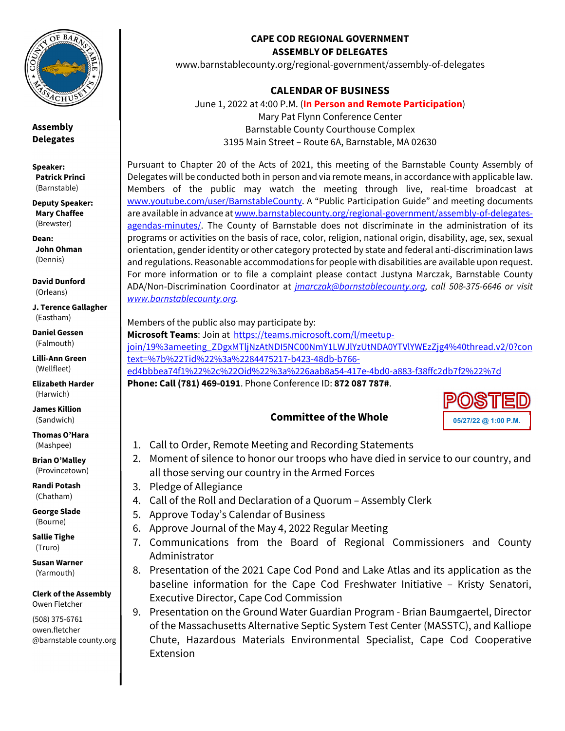

**Assembly Delegates** 

**Speaker: Patrick Princi** (Barnstable)

**Deputy Speaker: Mary Chaffee** (Brewster)

**Dean: John Ohman**  (Dennis)

**David Dunford**  (Orleans)

**J. Terence Gallagher**  (Eastham)

**Daniel Gessen**  (Falmouth)

**Lilli-Ann Green**  (Wellfleet)

**Elizabeth Harder**  (Harwich)

**James Killion**  (Sandwich)

**Thomas O'Hara**  (Mashpee)

**Brian O'Malley**  (Provincetown)

**Randi Potash**  (Chatham)

**George Slade**  (Bourne)

**Sallie Tighe**  (Truro)

**Susan Warner**  (Yarmouth)

**Clerk of the Assembly**  Owen Fletcher

(508) 375-6761 owen.fletcher @barnstable county.org

## **CAPE COD REGIONAL GOVERNMENT ASSEMBLY OF DELEGATES**

www.barnstablecounty.org/regional-government/assembly-of-delegates

## **CALENDAR OF BUSINESS**

June 1, 2022 at 4:00 P.M. (**In Person and Remote Participation**) Mary Pat Flynn Conference Center Barnstable County Courthouse Complex 3195 Main Street – Route 6A, Barnstable, MA 02630

Pursuant to Chapter 20 of the Acts of 2021, this meeting of the Barnstable County Assembly of Delegates will be conducted both in person and via remote means, in accordance with applicable law. Members of the public may watch the meeting through live, real-time broadcast at www.youtube.com/user/BarnstableCounty. A "Public Participation Guide" and meeting documents are available in advance at www.barnstablecounty.org/regional-government/assembly-of-delegatesagendas-minutes/. The County of Barnstable does not discriminate in the administration of its programs or activities on the basis of race, color, religion, national origin, disability, age, sex, sexual orientation, gender identity or other category protected by state and federal anti-discrimination laws and regulations. Reasonable accommodations for people with disabilities are available upon request. For more information or to file a complaint please contact Justyna Marczak, Barnstable County ADA/Non-Discrimination Coordinator at *jmarczak@barnstablecounty.org, call 508-375-6646 or visit www.barnstablecounty.org.*

Members of the public also may participate by:

**Microsoft Teams**: Join at https://teams.microsoft.com/l/meetupjoin/19%3ameeting\_ZDgxMTljNzAtNDI5NC00NmY1LWJlYzUtNDA0YTVlYWEzZjg4%40thread.v2/0?con text=%7b%22Tid%22%3a%2284475217-b423-48db-b766 ed4bbbea74f1%22%2c%22Oid%22%3a%226aab8a54-417e-4bd0-a883-f38ffc2db7f2%22%7d **Phone: Call (781) 469-0191**. Phone Conference ID: **872 087 787#**.

## **Committee of the Whole**



- 1. Call to Order, Remote Meeting and Recording Statements
- 2. Moment of silence to honor our troops who have died in service to our country, and all those serving our country in the Armed Forces
- 3. Pledge of Allegiance
- 4. Call of the Roll and Declaration of a Quorum Assembly Clerk
- 5. Approve Today's Calendar of Business
- 6. Approve Journal of the May 4, 2022 Regular Meeting
- 7. Communications from the Board of Regional Commissioners and County Administrator
- 8. Presentation of the 2021 Cape Cod Pond and Lake Atlas and its application as the baseline information for the Cape Cod Freshwater Initiative – Kristy Senatori, Executive Director, Cape Cod Commission
- 9. Presentation on the Ground Water Guardian Program Brian Baumgaertel, Director of the Massachusetts Alternative Septic System Test Center (MASSTC), and Kalliope Chute, Hazardous Materials Environmental Specialist, Cape Cod Cooperative Extension